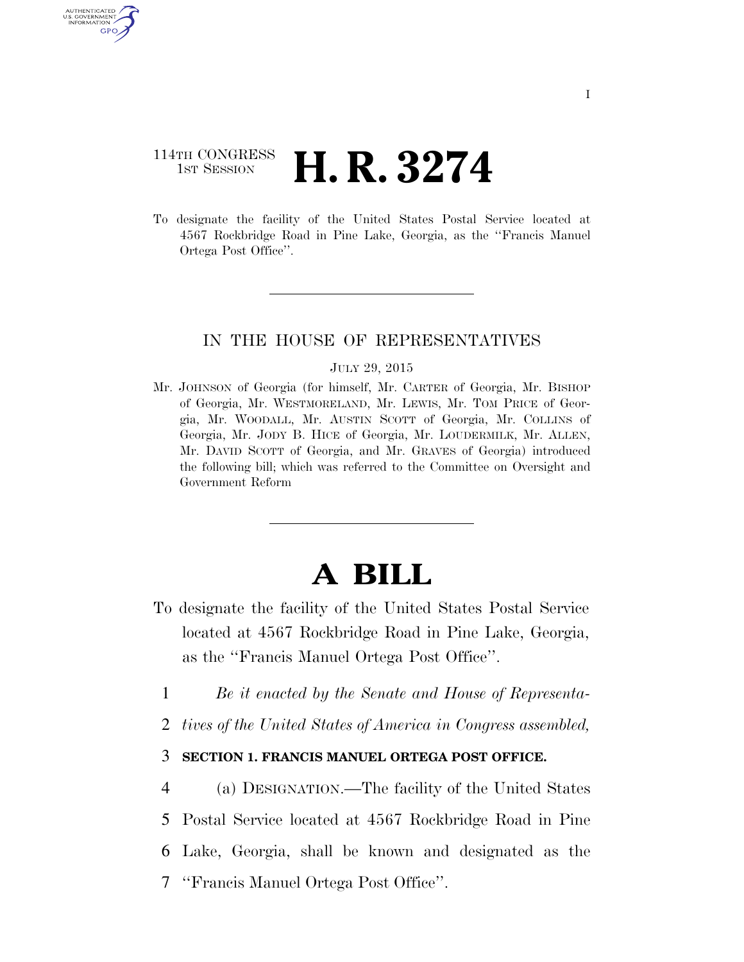## 114TH CONGRESS **1ST SESSION <b>H. R. 3274**

AUTHENTICATED U.S. GOVERNMENT GPO

> To designate the facility of the United States Postal Service located at 4567 Rockbridge Road in Pine Lake, Georgia, as the ''Francis Manuel Ortega Post Office''.

## IN THE HOUSE OF REPRESENTATIVES

#### JULY 29, 2015

Mr. JOHNSON of Georgia (for himself, Mr. CARTER of Georgia, Mr. BISHOP of Georgia, Mr. WESTMORELAND, Mr. LEWIS, Mr. TOM PRICE of Georgia, Mr. WOODALL, Mr. AUSTIN SCOTT of Georgia, Mr. COLLINS of Georgia, Mr. JODY B. HICE of Georgia, Mr. LOUDERMILK, Mr. ALLEN, Mr. DAVID SCOTT of Georgia, and Mr. GRAVES of Georgia) introduced the following bill; which was referred to the Committee on Oversight and Government Reform

# **A BILL**

- To designate the facility of the United States Postal Service located at 4567 Rockbridge Road in Pine Lake, Georgia, as the ''Francis Manuel Ortega Post Office''.
	- 1 *Be it enacted by the Senate and House of Representa-*
	- 2 *tives of the United States of America in Congress assembled,*

### 3 **SECTION 1. FRANCIS MANUEL ORTEGA POST OFFICE.**

4 (a) DESIGNATION.—The facility of the United States

5 Postal Service located at 4567 Rockbridge Road in Pine

- 6 Lake, Georgia, shall be known and designated as the
- 7 ''Francis Manuel Ortega Post Office''.